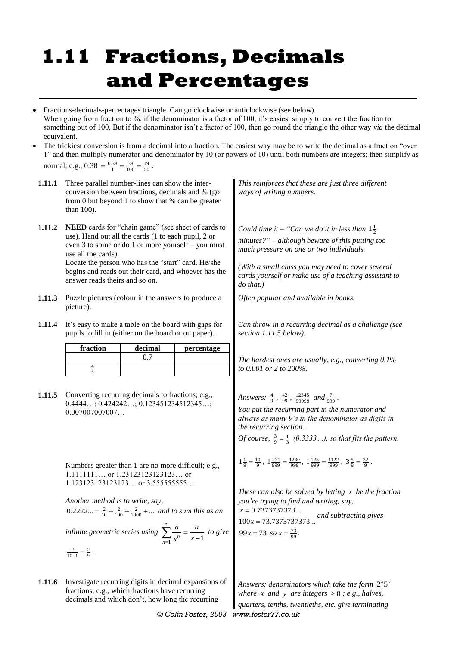## **1.11 Fractions, Decimals and Percentages**

- Fractions-decimals-percentages triangle. Can go clockwise or anticlockwise (see below). When going from fraction to %, if the denominator is a factor of 100, it's easiest simply to convert the fraction to something out of 100. But if the denominator isn't a factor of 100, then go round the triangle the other way *via* the decimal equivalent.
- The trickiest conversion is from a decimal into a fraction. The easiest way may be to write the decimal as a fraction "over 1" and then multiply numerator and denominator by 10 (or powers of 10) until both numbers are integers; then simplify as normal; e.g.,  $0.38 = \frac{0.38}{1} = \frac{38}{100} = \frac{19}{50}$ .

| 1.11.1                                                                                                                                                                                                                                                                                                                                                                                                                                             | Three parallel number-lines can show the inter-<br>conversion between fractions, decimals and % (go<br>from 0 but beyond 1 to show that % can be greater<br>than 100).                                                                                                                                                                                                                               |  |  | This reinforces that these are just three different<br>ways of writing numbers.                                                                                                                                                                                                                                                                                                                     |  |
|----------------------------------------------------------------------------------------------------------------------------------------------------------------------------------------------------------------------------------------------------------------------------------------------------------------------------------------------------------------------------------------------------------------------------------------------------|------------------------------------------------------------------------------------------------------------------------------------------------------------------------------------------------------------------------------------------------------------------------------------------------------------------------------------------------------------------------------------------------------|--|--|-----------------------------------------------------------------------------------------------------------------------------------------------------------------------------------------------------------------------------------------------------------------------------------------------------------------------------------------------------------------------------------------------------|--|
| 1.11.2<br>1.11.3                                                                                                                                                                                                                                                                                                                                                                                                                                   | <b>NEED</b> cards for "chain game" (see sheet of cards to<br>use). Hand out all the cards (1 to each pupil, 2 or<br>even 3 to some or do 1 or more yourself - you must<br>use all the cards).<br>Locate the person who has the "start" card. He/she<br>begins and reads out their card, and whoever has the<br>answer reads theirs and so on.<br>Puzzle pictures (colour in the answers to produce a |  |  | Could time it – "Can we do it in less than $1\frac{1}{2}$<br>$minutes$ ?" – although beware of this putting too<br>much pressure on one or two individuals.<br>(With a small class you may need to cover several<br>cards yourself or make use of a teaching assistant to<br>$do$ that.)<br>Often popular and available in books.                                                                   |  |
| 1.11.4                                                                                                                                                                                                                                                                                                                                                                                                                                             | picture).<br>It's easy to make a table on the board with gaps for<br>pupils to fill in (either on the board or on paper).                                                                                                                                                                                                                                                                            |  |  | Can throw in a recurring decimal as a challenge (see<br>section 1.11.5 below).                                                                                                                                                                                                                                                                                                                      |  |
| 1.11.5                                                                                                                                                                                                                                                                                                                                                                                                                                             | fraction<br>decimal<br>percentage<br>0.7<br>$rac{4}{5}$<br>Converting recurring decimals to fractions; e.g.,<br>$0.4444; 0.424242; 0.123451234512345;$<br>0.007007007007                                                                                                                                                                                                                             |  |  | The hardest ones are usually, e.g., converting $0.1\%$<br>to 0.001 or 2 to 200%.<br>Answers: $\frac{4}{9}$ , $\frac{42}{99}$ , $\frac{12345}{99999}$ and $\frac{7}{999}$ .<br>You put the recurring part in the numerator and<br>always as many 9's in the denominator as digits in<br>the recurring section.<br><i>Of course</i> , $\frac{3}{9} = \frac{1}{3}$ (0.3333), so that fits the pattern. |  |
| Numbers greater than 1 are no more difficult; e.g.,<br>1.1111111 or 1.23123123123123 or<br>1.123123123123123 or 3.5555555555<br>Another method is to write, say,<br>$0.2222 = \frac{2}{10} + \frac{2}{100} + \frac{2}{1000} + $ and to sum this as an<br>infinite geometric series using $\sum_{n=1}^{\infty} \frac{a}{x^n} = \frac{a}{x-1}$ to give $99x = 73.7373737373$<br>$\frac{2}{10-1} = \frac{2}{9}$ .<br>$\frac{2}{10-1} = \frac{2}{9}$ . |                                                                                                                                                                                                                                                                                                                                                                                                      |  |  | $1\frac{1}{9} = \frac{10}{9}$ , $1\frac{231}{999} = \frac{1230}{999}$ , $1\frac{123}{999} = \frac{1122}{999}$ , $3\frac{5}{9} = \frac{32}{9}$ .<br>These can also be solved by letting $x$ be the fraction<br>you're trying to find and writing, say,<br>$x = 0.7373737373$<br>and subtracting gives                                                                                                |  |
| 1.11.6                                                                                                                                                                                                                                                                                                                                                                                                                                             | Investigate recurring digits in decimal expansions of<br>fractions; e.g., which fractions have recurring<br>decimals and which don't, how long the recurring                                                                                                                                                                                                                                         |  |  | Answers: denominators which take the form $2^{x}5^{y}$<br>where x and y are integers $\geq 0$ ; e.g., halves,                                                                                                                                                                                                                                                                                       |  |

*© Colin Foster, 2003 www.foster77.co.uk*

*quarters, tenths, twentieths, etc. give terminating*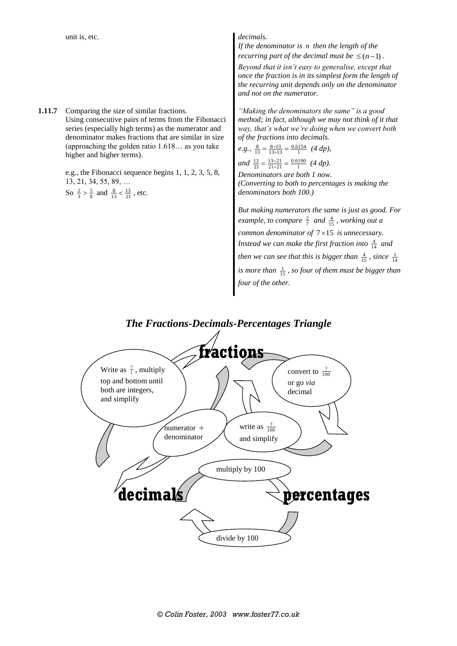**1.11.7** Comparing the size of similar fractions. Using consecutive pairs of terms from the Fibonacci series (especially high terms) as the numerator and denominator makes fractions that are similar in size (approaching the golden ratio 1.618… as you take higher and higher terms).

> e.g., the Fibonacci sequence begins 1, 1, 2, 3, 5, 8, 13, 21, 34, 55, 89, … So  $\frac{2}{3} > \frac{5}{8}$  and  $\frac{8}{13} < \frac{13}{21}$ , etc.

If the denominator is n then the length of the *recurring part of the decimal must be*  $\leq (n-1)$ . *Beyond that it isn't easy to generalise, except that once the fraction is in its simplest form the length of the recurring unit depends only on the denominator and not on the numerator.*

*"Making the denominators the same" is a good method; in fact, although we may not think of it that way, that's what we're doing when we convert both of the fractions into decimals.*

*e.g.*, 
$$
\frac{8}{13} = \frac{8 \div 13}{13 \div 13} = \frac{0.6154}{1}
$$
 (*4 dp*),  
and  $\frac{13}{21} = \frac{13 \div 21}{21 \div 21} = \frac{0.6190}{1}$  (*4 dp*).

*Denominators are both 1 now. (Converting to both to percentages is making the denominators both 100.)*

*But making numerators the same is just as good. For example, to compare*  $\frac{2}{7}$  *and*  $\frac{4}{15}$ *, working out a common denominator of*  $7 \times 15$  *is unnecessary.* Instead we can make the first fraction into  $\frac{4}{14}$  and *then we can see that this is bigger than*  $\frac{4}{15}$ *, since*  $\frac{1}{14}$ is more than  $\frac{1}{15}$ , so four of them must be bigger than *four of the other.*

## *The Fractions-Decimals-Percentages Triangle*

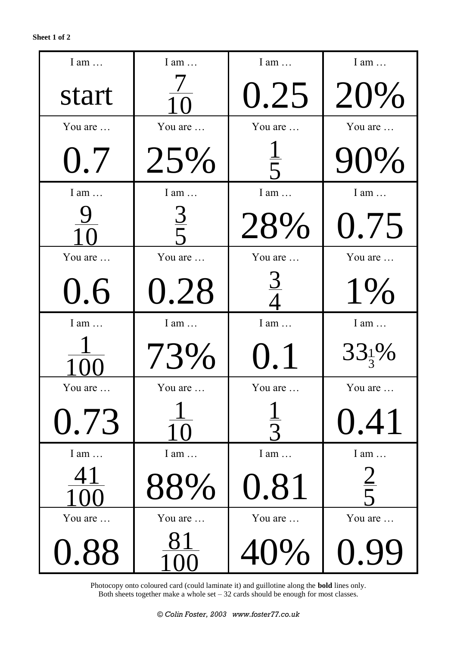| I am $\dots$ | I am           |         | I am              |
|--------------|----------------|---------|-------------------|
| start        | 1 <sub>0</sub> | 0.25    | 20%               |
| You are      | You are        | You are | You are           |
| 0.7          | 25%            |         | 90%               |
| I am         | $I$ am $\dots$ | I am    | I am $\dots$      |
|              | $rac{3}{5}$    | 28%     | 0.75              |
| You are      | You are        | You are | You are           |
| 0.6          | 0.28           |         | $1\%$             |
| I am         | $I$ am $\dots$ | I am    | I am              |
|              | 73%            | 0.1     | $33\frac{1}{3}\%$ |
| You are      | You are        | You are | You are           |
| 0.73         | 1 ( )          |         | 0.41              |
| I am $\dots$ | I am           | I am    | I am $\dots$      |
| 41           | 88%            | 0.81    | $\frac{2}{5}$     |
| You are      | You are        | You are | You are           |
| 0.88         |                | 40%     |                   |

Photocopy onto coloured card (could laminate it) and guillotine along the **bold** lines only. Both sheets together make a whole set  $-32$  cards should be enough for most classes.